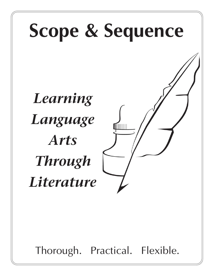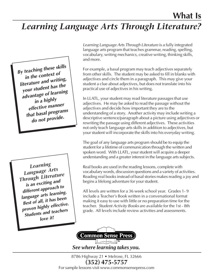# *Learning Language Arts Through Literature?*

*By teaching these skills in the context of literature and writing, your student has the advantage of learning in a highly effective manner that basal programs do not provide.*

*Learning Language Arts Through Literature is an exciting and different approach to language arts learning. Best of all, it has been proven highly effective. Students and teachers love it!*

*Learning Language Arts Through Literature* is a fully integrated language arts program that teaches grammar, reading, spelling, vocabulary, writing mechanics, creative writing, thinking skills, and more.

For example, a basal program may teach adjectives separately from other skills. The student may be asked to fill in blanks with adjectives and circle them in a paragraph. This may give your student a clue about adjectives, but does not translate into his practical use of adjectives in his writing.

In LLATL, your student may read literature passages that use adjectives. He may be asked to read the passage without the adjectives and decide how important they are to the understanding of a story. Another activity may include writing a descriptive sentence/paragraph about a picture using adjectives or rewriting the passage using different adjectives. These activities not only teach language arts skills in addition to adjectives, but your student will incorporate the skills into his everyday writing.

The goal of any language arts program should be to equip the student for a lifetime of communication through the written and spoken word. With LLATL, your student will acquire a deeper understanding and a greater interest in the language arts subjects.

Real books are used in the reading lessons, complete with vocabulary words, discussion questions and a variety of activities. Reading real books instead of basal stories makes reading a joy and begins a lifelong adventure for your student.

All levels are written for a 36 week school year. Grades 1- 9 include a Teacher's Book written in a conversational format making it easy to use with little or no preparation time for the teacher. *Student Activity Books* are available for the 1st - 8th grade. All levels include review activities and assessments.



*See where learning takes you.*

8786 Highway 21 • Melrose, FL 32666 **(352) 475-5757** For sample lessons visit www.commonsensepress.com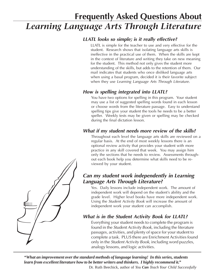# **Frequently Asked Questions About** *Learning Language Arts Through Literature*

### *LLATL looks so simple; is it really effective?*

LLATL is simple for the teacher to use and very effective for the student. Research shows that isolating language arts skills is ineffective in the practical use of them. When the skills are kept in the context of literature and writing they take on new meaning for the student. This method not only gives the student more understanding of the skills, but adds to the retention of them. Our mail indicates that students who once disliked language arts when using a basal program, decided it is their favorite subject when they use *Learning Language Arts Through Literature*.

### *How is spelling integrated into LLATL?*

You have two options for spelling in this program. Your student may use a list of suggested spelling words found in each lesson or choose words from the literature passage. Easy to understand spelling tips give your student the tools he needs to be a better speller. Weekly tests may be given or spelling may be checked during the final dictation lesson.

### *What if my student needs more review of the skills?*

Throughout each level the language arts skills are reviewed on a regular basis. At the end of most weekly lessons there is an optional review activity that provides your student with more practice in any skill covered that week. You may assign him only the sections that he needs to review. Assessments throughout each book help you determine what skills need to be reviewed by your student.

### *Can my student work independently in Learning Language Arts Through Literature?*

Yes. Daily lessons include independent work. The amount of independent work will depend on the student's ability and the grade level. Higher level books have more independent work. Using the *Student Activity Book* will increase the amount of independent work your student can accomplish.

### *What is in the Student Activity Book for LLATL?*

Everything your student needs to complete the program is found in the *Student Activity Book,* including the literature passages, activities, and plenty of space for your student to complete a task. PLUS there are Enrichment Activities found only in the *Student Activity Book*, including word puzzles, analogy lessons, and logic activities.

*"What an improvement over the standard methods of language learning! In this series, students learn from excellent literature how to be better writers and thinkers. I highly recommend it."*

Dr. Ruth Beechick, author of *You Can Teach Your Child Successfully*

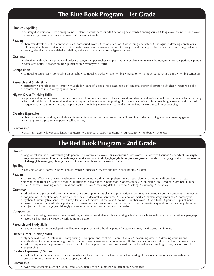#### **Phonics / Spelling**

• auditory discrimination • beginning sounds • blends • consonant sounds • decoding new words • ending sounds • long vowel sounds • short vowel sounds • sight words • silent e • vowel pairs • words families

#### **Reading**

- character development context clues compound words comprehension describing characters dialogue drawing conclusions
- following directions inferences left to right progression maps moral of a story oral reading plot poetry predicting outcome
- reading aloud recalling detail retelling a story rhyme setting types of stories

#### **Grammar**

- adjectives alphabet alphabetical order antonyms apostrophes capitalization exclamation marks homonyms nouns periods plurals
- possessive nouns proper nouns punctuation synonyms verbs

#### **Composition**

• composing sentences • composing paragraphs • composing stories • letter writing • narration • narration based on a picture • writing sentences

#### **Research and Study Skills**

- dictionary encyclopedia library map skills parts of a book: title page, table of contents, author, illustrator, publisher reference skills
- research thesaurus verifying information

#### **Higher Order Thinking Skills**

- alphabetical order categorizing compare and contrast context clues describing details drawing conclusions evaluation of a story
- fact and opinion following directions grouping inferences interpreting illustrations making a list matching memorization ordinal sequencing • patterns • personal application • predicting outcome • real and make-believe • story recall • sequencing

#### **Creative Expression**

- charades choral reading coloring drama drawing illustrating sentences illustrating stories making a book memory game
- narrating from a picture puppets telling a story

#### **Penmanship**

• drawing shapes • lower case letters manuscript • upper case letters manuscript • punctuation • numbers • sentences

# **The Red Book Program - 2nd Grade**

#### **Phonics**

• long vowel sounds • review first grade phonics • **r**-controlled vowels: **ar**,**ear,er**,**ir**,**ur** • root words • short vowel sounds • sounds of: **au**,**augh,** aw,ay,ea,ee,ei,ew,ie,oi,oo,or,ou,ough,ow,oy,ue,ui • sounds of: al,ch,el,le,nd,sh,th,tion,ture,war,wor • sounds of : a,c,g,s,y • silent consonant in:  **ck,dge,gn,igh,kn,mb,ph,tch,wh,ur** • syllabication • suffix sounds • words families

#### **Spelling**

• copying words • games • how to study words • puzzles • review phonics • spelling tips • suffix

#### **Reading**

- cause and effect character development compound words comprehension context clues dialogue discussion of context
- •drawing conclusions facts fiction illustrations main idea nonfiction onomatopoeia opinion oral reading ordinal numbers
- plot poetry reading aloud real and make-believe recalling detail rhyme setting summary syllables

#### **Grammar**

- adjectives alphabetical order antonyms apostrophes articles capitalization commas common noun comparative adjective
- conjunctions contractions days of the week declarative sentences exclamation marks exclamatory sentences homonyms
- hyphen interrogative sentences irregular nouns months of the year nouns number words past tense periods plural nouns
- possessive nouns predicate prefix: **un** present tense pronouns proper nouns question marks quotation marks singular noun
- subject suffixes: **ed,er,est,ful,ing,ly,y** superlative adjectives synonyms verbs

#### **Composition**

• address • copying literature • creative writing • dates • descriptive writing • editing • invitations • letter writing • list • narration • paragraph • recording information • report • writing from dictation

#### **Research and Study Skills**

• atlas • dictionary • encyclopedia • library • map • parts of a book • parts of a story • survey • thesaurus • timeline

#### **Higher Order Thinking Skills**

- alphabetical order calendar categorizing compare and contrast context clues describing details drawing conclusions
- evaluation of a story following directions grouping inferences interpreting illustrations making a list matching memorization
- ordinal sequencing patterns personal application predicting outcome real and make-believe retelling a story story recall
- sequencing

#### **Creative Expression / Games**

• book making • bingo • calendar • card making • diorama • drama • illustrating • interpreting illustrations • poetry • nature walk • oral presentation • pantomime • plays • puppetry • riddles

#### **Penmanship**

• lower case letters manuscript • upper case letters manuscript • numbers • punctuation • sentences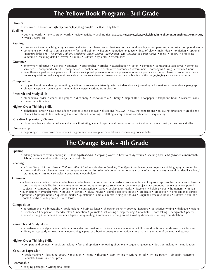# **The Yellow Book Program - 3rd Grade**

#### **Phonics**

• root words • sounds of: **igh**,**ed,er**,**ar**,**or**,**le**,**el**,**al**,**ng**,**tion**,**kn** • suffixes • syllables

#### **Spelling**

 • copying words • how to study words • review activity • spelling tips: **al,ai,ar,ay,ea,ear,ee,el,er,ew,ie,igh,ir,kn,le,oi,oo,or,ou,ough,ow,ue,ur,wh,wr,** • weekly word list

#### **Reading**

• base or root words • biography • cause and effect • characters • chart reading • choral reading • compare and contrast • compound words • comprehension • discussion of content • fact and opinion • fiction • figurative language • lines of play • main idea • nonfiction • optional literature links on: *The White Stallion, Madeline, Meet George Washington, The Courage of Sarah Noble* • plays • poetry • predicting outcome • recalling detail • rhyme • similes • suffixes • syllables • vocabulary

#### **Grammar**

- antonyms adjectives adverbs antonym apostrophes articles capitalization colon commas comparative adjectives complete sentences • compound subjects • conjunctions • contractions • declarative sentences • determiners • homonyms • irregular words • nouns
- parentheses past tense periods plural nouns plural possessive nouns possessive nouns predicate present tense pronouns proper nouns • quotation marks • quotations • singular nouns • singular possessive nouns • subjects • suffix: **ed,er,ful,ing** • synonyms • verbs

#### **Composition**

- copying literature descriptive writing editing envelope friendly letter indentations journaling list making main idea paragraph
- phrases report sentences similes title verse writing from dictation

#### **Research and Study Skills**

- alphabetical order charts and graphs dictionary encyclopedia library map skills newspaper telephone book research skills
- thesaurus timeline

#### **Higher Order Thinking Skills**

• alphabetical order • cause and effect • compare and contrast • directions (N,S,E,W) • drawing conclusions • following directions • graphs and charts • listening skills • matching • memorization • reporting • retelling a story • same and different • sequencing

#### **Creative Expression / Games**

• choral reading • codes • collage • drama • illustrating • match-ups • oral presentation • pantomime • plays • poetry • puzzles • riddles

#### **Penmanship**

• beginning cursive—lower case letters • beginning cursive—upper case letters • connecting cursive letters

### **The Orange Book - 4th Grade**

#### **Spelling**

• adding suffixes to words ending in: silent **e,y,ch,sh,s,z,x** • copying words • how to study words • spelling tips: **ch,dge,ear,er,ie,ir,ou,ow,sh, tch,ur** • words ending with: **ss,ff,zz •** vowel rules

#### **Reading**

- a Book Study Unit on: *Boxcar Children, Wright Brothers, Benjamin Franklin, The Sign of the Beaver* antonyms autobiography biography
- cause and effect character sketch comprehension discussion of content homonyms parts of a story poetry recalling detail silent / oral reading • similes • syllables • synonyms • vocabulary

#### **Grammar**

- abbreviations action verbs adjectives adjectives in comparison adverbs antecedents antonyms apostrophes articles base or root words • capitalization • commas • common nouns • complete sentences • complete subjects • compound sentences • compound subjects • compound verbs • conjunctions • contraction • dates • exclamation marks • fragment • helping verbs • homonyms • initials
- interjections irregular verbs nouns periods plural nouns plural possessive nouns predicate preposition prepositional phrase
- pronouns proper nouns question marks quotations simple subjects singular nouns singular possessive nouns suffixes title of a book • verbs • verb phrases • verb tenses

#### **Composition**

- advertisements bibliography book making business letter character sketch copying literature descriptive writing dialogue editing
- envelopes first person friendly letter indention journals list writing map making newsletter note taking paragraph poetry
- report writing sentences sentence types story writing summary writing an ad writing directions writing from dictation

#### **Research and Study Skills**

- advertisements alphabetical order atlas decision making dictionary encyclopedia following directions guide words interview
- library map study newspaper note-taking parts of a book poetry memorization research skills table of contents thesaurus

#### **Higher Order Thinking Skills**

• compare and contrast • decision making • fact and opinion • following directions • sequencing events • decision making • memorization

#### **Creative Expression**

• book making • illustrating poetry • recitation • rhyme • rhythm • story writing • writing an ad • writing poetry— cinquain, concrete, couplet, haiku, limerick, prose

#### **Penmanship**

• copying passages • writing final drafts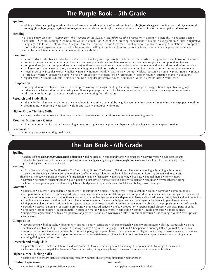# **The Purple Book - 5th Grade**

#### **Spelling**

• adding suffixes • copying words • plurals of irregular words • plurals of words ending in: **ch,f,fe,o,s,sh,x,y,z** • spelling tips: **ai**,**ck**,**ear,el,er**,**gh**,  **gn**,**ie,igh,ir,kn,le,ou,ough,ow,sion,tion,ture,ur,wor** • words ending in **f,l,s,z** • studying words • syllabication • vowel pairs: **ai**,**ie**,**ou**,**ow**

#### **Reading**

- a Book Study Unit on: *Farmer Boy, The Trumpet of the Swan, Meet Addy, Caddie Woodlawn* accent biography character sketch • characters • choral reading • compound words • conclusion • conflict • drawing conclusions • dialect • exaggeration • facts • figurative language • folk tale • introduction • legend • meter • opinion • plot • poetry • point of view • problem solving • quotations • comprehen
- sion rhyme rhyme scheme root or base words setting similes skim and scan solution summary supporting sentences • syllables • tall tale • topic • topic sentences • vocabulary

#### **Grammar**

- action verbs adjectives adverbs antecedents antonyms apostrophes base or root words being verbs capitalization commas
- common nouns comparative adjectives complete predicate complete sentences complete subjects compound sentences
- compound subjects compound verbs conjunctions contractions dates declarative sentences direct address double negative
- exclamation marks exclamatory sentences fragment helping verbs homonyms hyphen interjections interrogative sentences
- irregular verbs irregular words italics nouns number words past tense periods plural possessive nouns plural nouns plurals
- of irregular words possessive nouns prefix preposition present tense pronouns proper nouns question marks quotations
- regular verbs simple subjects singular nouns singular possessive nouns suffixes verbs verb phrases verb tense

#### **Composition**

- copying literature character sketch descriptive writing dialogue writing editing envelope exaggeration figurative language
- indentation letter writing list making outlines paragraph parts of a letter reporting rhyme summary supporting sentences
	- tall tales topic topic sentences writing poetry writing from dictation

#### **Research and Study Skills**

- atlas Bible references dictionary encyclopedia family tree globe guide words interview list making newspaper outline
- proofreading reporting research skim and scan thesaurus timeline

#### **Higher Order Thinking Skills**

• analogy • decision making • directions • facts • memorization • narration • opinion • sequencing events

#### **Creative Expression / Games**

• choral reading • family tree • interviewing • memorizing • meter • poetry • rhyme • role playing • scheme • speech making

#### **Penmanship**

• copying passages • writing final drafts

# **The Tan Book - 6th Grade**

#### **Spelling**

• adding suffixes **-able,ance,ant,ence,ent,ible,sion,tion** • adding prefixes • compound words • contractions • copying words • double consonants • plurals of irregular words • plural rules • spelling rules for: **ck**,**dg,ear,er,gn,ie,igh,ir,kn,ou,ough,ow,ur,wor,wr** • spelling rules for changing: **f** to **v**,  **y** to **i** • studying words • syllabication

#### **Reading**

- a Book Study on: *Carry On, Mr. Bowditch, The Bronze Bow, Big Red, The Horse and His Boy* alliteration autobiography biography bound base • choral reading • climax • comprehension • conflict • context clues • couplet • dialect • dialogue • discussing content • duolog • end rhyme • etymology • exposition • fable • falling action • fiction • first person • foreshadowing • free base • internal rhyme • irony • mood
- narrator news story personification plot poetry point of view prose reciting poetry repetition resolution rhyme scheme rising
- action second person speech stanza syllables third person topic sentences triplet vocabulary word analogy

#### **Grammar**

- adjectives adverbs antecedents antonyms apostrophes articles being verbs capitalization colon commas common nouns
- comparative adjectives complete predicate complete sentences complete subjects compound sentences compound subjects compound verbs • compound words • conjunctions • contraction • declarative sentences • dependent clause • direct address • direct object • direct quotation
- double negative exclamation marks exclamatory sentences fragment helping verbs homonyms hyphen imperative sentences
- independent clause interjections interrogative sentences irregular verbs linking verbs nouns object of the preposition parts of speech
- periods possessive nouns possessive pronouns predicate adjectives prefix preposition prepositional phrase principal parts of verbs
- pronouns proper nouns question marks quotation marks regular verbs semicolon simile simple predicate simple subjects
- subject/verb agreement suffixes superlative adjectives syllables synonyms titles transitional words underlining verbs verbs phrase • verbs tense

#### **Composition**

- advertisement bibliography biography business letter caricature character sketch circle words picture closing paragraph closing sentences• creative writing • dialogue • duolog • essay • figurative language • first draft • first person • friendly letter • journal • main idea
- mood news story opening paragraph outline paragraph paraphrase personification plagiarism poetry prose research similes
- summary supporting detail supporting sentences thesis statement titles topic topic sentences types of sentences writing a fable
- writing dialogue writing instructions

#### **Research and Study Skills**

- alphabetical order Bible translation Caldecott Award Dewey Decimal System dictionary encyclopedia etymology illustration
- interview library map skills Newbery Award news story organizing thought research sequence thesaurus timeline

#### **Higher Order Thinking Skills**

• analogies • circle word pictures • conducting research • context clues • giving directions • memorization

| <b>Creative Expression</b>                      | Penmanship                        |
|-------------------------------------------------|-----------------------------------|
| • creative writing • oral presentation • poetry | • copying passages • final drafts |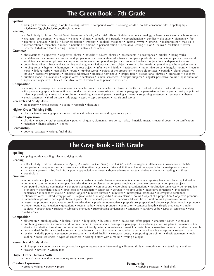# **The Green Book - 7th Grade**

#### **Spelling**

• adding **s** to words: ending in **o**,**f**,**fe •** adding suffixes • compound words • copying words • double consonant rules • spelling tips:  **ck**,**dge,ew,ff,gn,ie,kn,ll,sion,ss,tion,ture,ue,zz**

#### **Reading**

- a Book Study Unit on: *Star of Light, Adam and His Kin, Much Ado About Nothing*  accent analogy Base or root words book reports
- character development cinquain cliché climax comedy and tragedy comprehension conflict dialogue diamante fact
- figurative language haiku historical fiction imagery implied metaphor internal rhyme limerick malapropism map skills
- memorization metaphor mood narration opinion personification persuasive writing plot Psalms recitation rhyme
- scheme rhythmic foot setting similes suffixes syllables

#### **Grammar**

- abbreviations adjectives adjectives phrase adverbs adverb phrases antecedents apostrophes articles being verbs
- capitalization commas common and proper nouns comparative adjectives complete predicate complete subjects compound
- modifiers compound phrases compound sentences compound subjects compound verbs conjunctions dependent clause
- determining direct object diagramming dialogue dictionary direct object exclamation marks gerund graphs guide words
- helping verbs hyphen homonyms indirect object infinitive initials interjections intransitive verbs irregular nouns irregular verbs • linking verbs • map skills • nouns • number words • object of the preposition • participle phrases • periods • plural possessive nouns • possessive pronouns • predicate adjectives •predicate nominative • preposition • prepositional phrases • pronouns • qualifiers
- question marks quotations regular verbs sentences simple sentences simple subjects singular possessive nouns split quotation • superlative adjectives • titles • transitive verbs • verbs • verb phrase • verb tense

#### **Composition**

- analogy bibliography book review character sketch characters climax conflict contrast drafts: first and final editing
- first person graphs introduction mood narration note-taking outline paragraph persuasive writing plot poetry point of view • pre-writing • research • resolution • revising • second person • setting • theme • supporting sentences • synonyms • theme
- thesis statement third person title page topic topic sentences transitional words

#### **Research and Study Skills**

• bibliography • encyclopedia • outline • research • thesaurus

#### **Higher Order Thinking Skills**

• charts • family tree • graphs • memorization • timeline • understanding sentence parts

#### **Creative Expression**

- clichés imagery oral presentation poetry: cinquain, diamante, free verse, haiku, limerick, meter, structural poem personification
- recitation rhyme scheme similes

#### **Penmanship**

• copying passages • writing final drafts

### **The Gray Book - 8th Grade**

#### **Spelling**

• copying words • spelling rules • studying words

#### **Reading**

- a Book Study Unit on: *Across Five Aprils, A Lantern in Her Hand, Eric Liddell, God's Smuggler* alliteration assonance clichés
- comparing comprehension consonance figurative language historical fiction literature appreciation metaphor meter
- narration persons 1st, 2nd, 3rd poetry appreciation prose rhyme scheme roots similes silent/oral reading suffixes

#### **Grammar** • vocabulary

- action verbs adjective clauses adjectives adverbs adverb clauses antecedents antonyms apostrophes articles capitalization
- commas common nouns comparative adjectives complement complete predicate complete sentences complete subjects
- compound predicate nominative compound sentences conjunctions coordinating conjunctions declarative sentences demonstrative pronouns • dependent clause • direct object • exclamatory sentences • gerunds • helping verbs • imperative sentences • incomplete sentences • independent clause • indirect object •infinitive phrases • infinitives • interrogative pronouns • interrogative sentences
- intransitive verbs introductory phrase irregular verbs linking verbs nouns clause nouns object of a preposition objective pronouns
- parenthetical phrase participial phrase participles personal pronouns persons 1st 2nd 3rd plural nouns possessive nouns
- possessive pronouns predicate predicate adjectives predicate nominative preposition• prepositional phrase problem words pronouns
- proper nouns punctuation quotations regular verbs relative pronouns semicolon sentence length simple predicate simple subjects • speech tags • subjects • subjective pronouns • subordinating conjunctions • synonyms • transitive verbs • types of sentences • verbs
- verbs tenses

#### **Composition**

- alliteration autobiography biblical fiction biography business letter cause and effect paper character sketch cinquain • combining sentences • compare and contrast paper • comparison • descriptive paragraph • developing a writing plan • diamante • final draft • first draft • formal and informal writing • friendly letter • interviews • limerick • metaphors • narrative paper • narrative paragraph
- non-standard English ordinal numbers paraphrase parts of a letter persuasive paper proof reading reports research paper
- revision riddle poems sentence construction standard English structural poetry supporting an opinion thesis statement topic
- outline topic sentences types of sentences writing a story with a moral writing dialogue

#### **Research and Study Skills**

- bibliography concordance encyclopedia gathering sources interviewing listening skills memorization note-taking outlines
- research revision writing plan

#### **Higher Order Thinking Skills**

• memorization • outline • vocabulary study • word parts

**Creative Expression**

• creative writing • poetry • prose